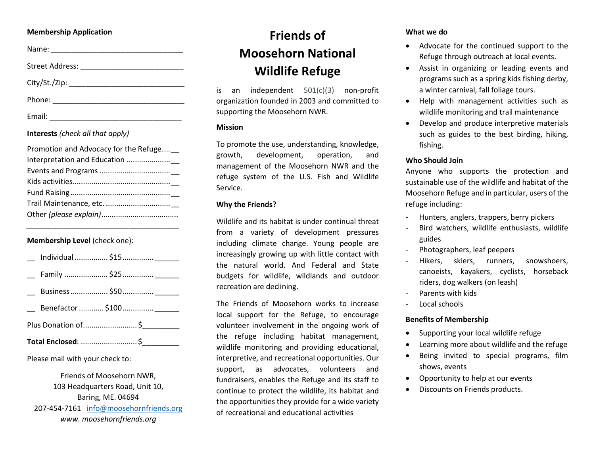#### Membership Application

Name: \_\_\_\_\_\_\_\_\_\_\_\_\_\_\_\_\_\_\_\_\_\_\_\_\_\_\_\_\_\_\_\_

Street Address: \_\_\_\_\_\_\_\_\_\_\_\_\_\_\_\_\_\_\_\_\_\_\_\_\_

City/St./Zip: \_\_\_\_\_\_\_\_\_\_\_\_\_\_\_\_\_\_\_\_\_\_\_\_\_\_\_\_

Phone: \_\_\_\_\_\_\_\_\_\_\_\_\_\_\_\_\_\_\_\_\_\_\_\_\_\_\_\_\_\_\_\_

Email: \_\_\_\_\_\_\_\_\_\_\_\_\_\_\_\_\_\_\_\_\_\_\_\_\_\_\_\_\_\_\_\_

# Interests (check all that apply)

| Promotion and Advocacy for the Refuge __ |
|------------------------------------------|
|                                          |
|                                          |
|                                          |
|                                          |
|                                          |
|                                          |

\_\_\_\_\_\_\_\_\_\_\_\_\_\_\_\_\_\_\_\_\_\_\_\_\_\_\_\_\_\_\_\_\_\_\_\_\_

# Membership Level (check one):

| Plus Donation of  \$ |                             |  |  |  |
|----------------------|-----------------------------|--|--|--|
|                      |                             |  |  |  |
|                      |                             |  |  |  |
|                      |                             |  |  |  |
|                      | __ Individual  \$15  ______ |  |  |  |

### Please mail with your check to:

Friends of Moosehorn NWR, 103 Headquarters Road, Unit 10, Baring, ME. 04694 207-454-7161 info@moosehornfriends.org www. moosehornfriends.org

# Friends of Moosehorn National Wildlife Refuge

is an independent 501(c)(3) non-profit organization founded in 2003 and committed to supporting the Moosehorn NWR.

### **Mission**

To promote the use, understanding, knowledge, growth, development, operation, and management of the Moosehorn NWR and the refuge system of the U.S. Fish and Wildlife Service.

# Why the Friends?

Wildlife and its habitat is under continual threat from a variety of development pressures including climate change. Young people are increasingly growing up with little contact with the natural world. And Federal and State budgets for wildlife, wildlands and outdoor recreation are declining.

The Friends of Moosehorn works to increase local support for the Refuge, to encourage volunteer involvement in the ongoing work of the refuge including habitat management, wildlife monitoring and providing educational, interpretive, and recreational opportunities. Our support, as advocates, volunteers and fundraisers, enables the Refuge and its staff to continue to protect the wildlife, its habitat and the opportunities they provide for a wide variety of recreational and educational activities

# What we do

- Advocate for the continued support to the Refuge through outreach at local events.
- Assist in organizing or leading events and programs such as a spring kids fishing derby, a winter carnival, fall foliage tours.
- Help with management activities such as wildlife monitoring and trail maintenance
- Develop and produce interpretive materials such as guides to the best birding, hiking, fishing.

# Who Should Join

Anyone who supports the protection and sustainable use of the wildlife and habitat of the Moosehorn Refuge and in particular, users of the refuge including:

- Hunters, anglers, trappers, berry pickers
- Bird watchers, wildlife enthusiasts, wildlife guides
- Photographers, leaf peepers
- Hikers, skiers, runners, snowshoers, canoeists, kayakers, cyclists, horseback riders, dog walkers (on leash)
- Parents with kids
- Local schools

# Benefits of Membership

- Supporting your local wildlife refuge
- Learning more about wildlife and the refuge
- Being invited to special programs, film shows, events
- Opportunity to help at our events
- Discounts on Friends products.